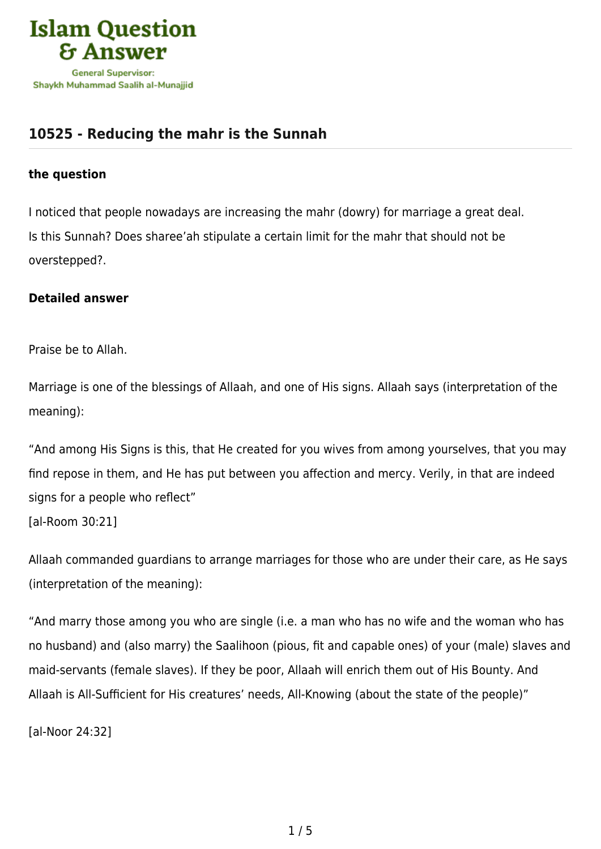

## **[10525 - Reducing the mahr is the Sunnah](https://islamqa.com/en/answers/10525/reducing-the-mahr-is-the-sunnah)**

## **the question**

I noticed that people nowadays are increasing the mahr (dowry) for marriage a great deal. Is this Sunnah? Does sharee'ah stipulate a certain limit for the mahr that should not be overstepped?.

## **Detailed answer**

Praise be to Allah.

Marriage is one of the blessings of Allaah, and one of His signs. Allaah says (interpretation of the meaning):

"And among His Signs is this, that He created for you wives from among yourselves, that you may find repose in them, and He has put between you affection and mercy. Verily, in that are indeed signs for a people who reflect" [al-Room 30:21]

Allaah commanded guardians to arrange marriages for those who are under their care, as He says (interpretation of the meaning):

"And marry those among you who are single (i.e. a man who has no wife and the woman who has no husband) and (also marry) the Saalihoon (pious, fit and capable ones) of your (male) slaves and maid-servants (female slaves). If they be poor, Allaah will enrich them out of His Bounty. And Allaah is All-Sufficient for His creatures' needs, All-Knowing (about the state of the people)"

[al-Noor 24:32]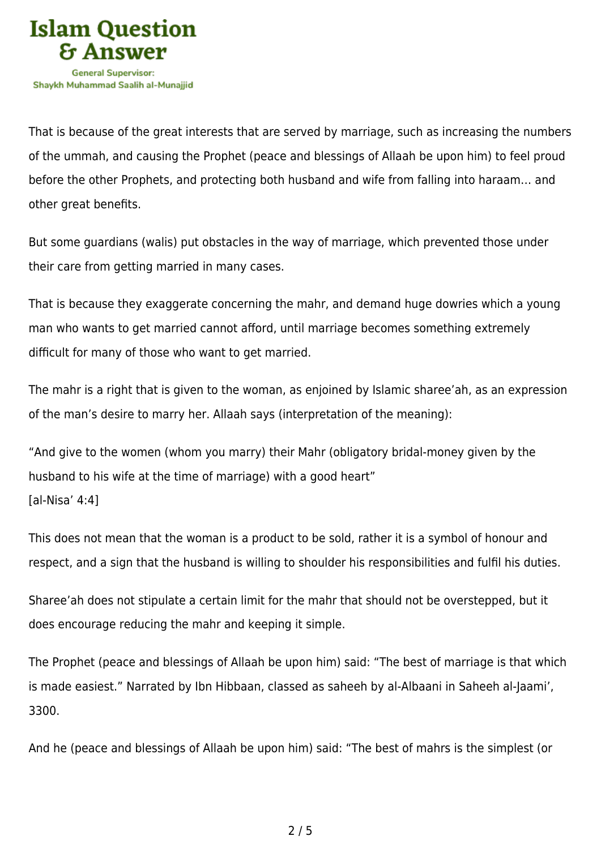

That is because of the great interests that are served by marriage, such as increasing the numbers of the ummah, and causing the Prophet (peace and blessings of Allaah be upon him) to feel proud before the other Prophets, and protecting both husband and wife from falling into haraam… and other great benefits.

But some guardians (walis) put obstacles in the way of marriage, which prevented those under their care from getting married in many cases.

That is because they exaggerate concerning the mahr, and demand huge dowries which a young man who wants to get married cannot afford, until marriage becomes something extremely difficult for many of those who want to get married.

The mahr is a right that is given to the woman, as enjoined by Islamic sharee'ah, as an expression of the man's desire to marry her. Allaah says (interpretation of the meaning):

"And give to the women (whom you marry) their Mahr (obligatory bridal-money given by the husband to his wife at the time of marriage) with a good heart" [al-Nisa' 4:4]

This does not mean that the woman is a product to be sold, rather it is a symbol of honour and respect, and a sign that the husband is willing to shoulder his responsibilities and fulfil his duties.

Sharee'ah does not stipulate a certain limit for the mahr that should not be overstepped, but it does encourage reducing the mahr and keeping it simple.

The Prophet (peace and blessings of Allaah be upon him) said: "The best of marriage is that which is made easiest." Narrated by Ibn Hibbaan, classed as saheeh by al-Albaani in Saheeh al-Jaami', 3300.

And he (peace and blessings of Allaah be upon him) said: "The best of mahrs is the simplest (or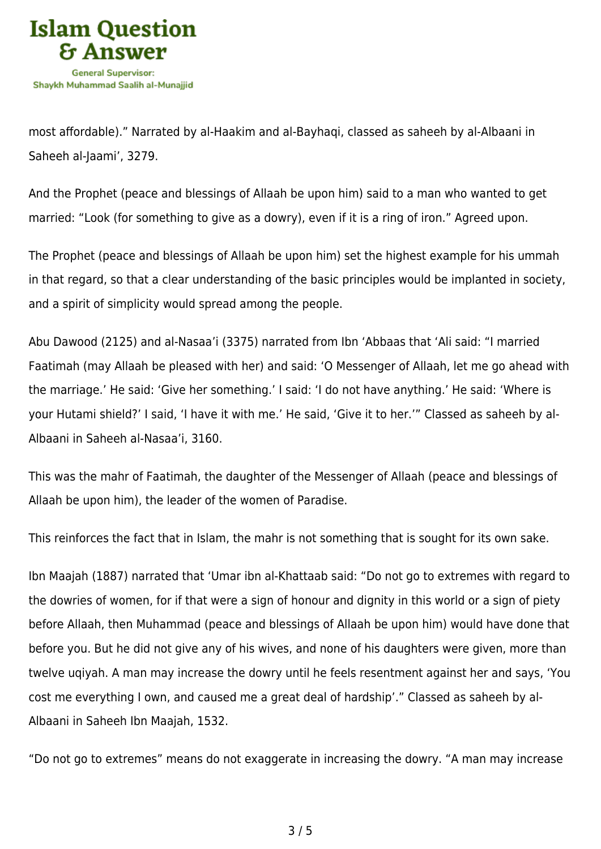

most affordable)." Narrated by al-Haakim and al-Bayhaqi, classed as saheeh by al-Albaani in Saheeh al-Jaami', 3279.

And the Prophet (peace and blessings of Allaah be upon him) said to a man who wanted to get married: "Look (for something to give as a dowry), even if it is a ring of iron." Agreed upon.

The Prophet (peace and blessings of Allaah be upon him) set the highest example for his ummah in that regard, so that a clear understanding of the basic principles would be implanted in society, and a spirit of simplicity would spread among the people.

Abu Dawood (2125) and al-Nasaa'i (3375) narrated from Ibn 'Abbaas that 'Ali said: "I married Faatimah (may Allaah be pleased with her) and said: 'O Messenger of Allaah, let me go ahead with the marriage.' He said: 'Give her something.' I said: 'I do not have anything.' He said: 'Where is your Hutami shield?' I said, 'I have it with me.' He said, 'Give it to her.'" Classed as saheeh by al-Albaani in Saheeh al-Nasaa'i, 3160.

This was the mahr of Faatimah, the daughter of the Messenger of Allaah (peace and blessings of Allaah be upon him), the leader of the women of Paradise.

This reinforces the fact that in Islam, the mahr is not something that is sought for its own sake.

Ibn Maajah (1887) narrated that 'Umar ibn al-Khattaab said: "Do not go to extremes with regard to the dowries of women, for if that were a sign of honour and dignity in this world or a sign of piety before Allaah, then Muhammad (peace and blessings of Allaah be upon him) would have done that before you. But he did not give any of his wives, and none of his daughters were given, more than twelve uqiyah. A man may increase the dowry until he feels resentment against her and says, 'You cost me everything I own, and caused me a great deal of hardship'." Classed as saheeh by al-Albaani in Saheeh Ibn Maajah, 1532.

"Do not go to extremes" means do not exaggerate in increasing the dowry. "A man may increase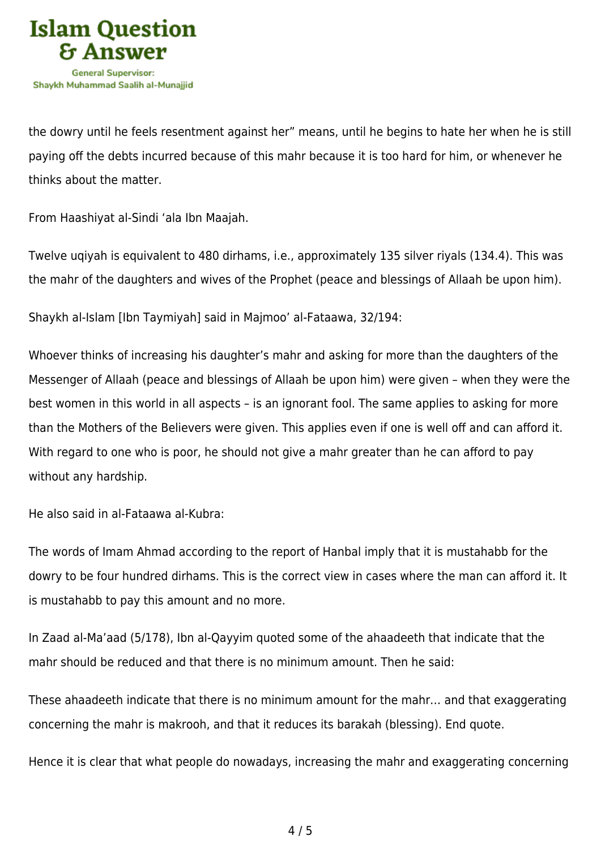

the dowry until he feels resentment against her" means, until he begins to hate her when he is still paying off the debts incurred because of this mahr because it is too hard for him, or whenever he thinks about the matter.

From Haashiyat al-Sindi 'ala Ibn Maajah.

Twelve uqiyah is equivalent to 480 dirhams, i.e., approximately 135 silver riyals (134.4). This was the mahr of the daughters and wives of the Prophet (peace and blessings of Allaah be upon him).

Shaykh al-Islam [Ibn Taymiyah] said in Majmoo' al-Fataawa, 32/194:

Whoever thinks of increasing his daughter's mahr and asking for more than the daughters of the Messenger of Allaah (peace and blessings of Allaah be upon him) were given – when they were the best women in this world in all aspects – is an ignorant fool. The same applies to asking for more than the Mothers of the Believers were given. This applies even if one is well off and can afford it. With regard to one who is poor, he should not give a mahr greater than he can afford to pay without any hardship.

He also said in al-Fataawa al-Kubra:

The words of Imam Ahmad according to the report of Hanbal imply that it is mustahabb for the dowry to be four hundred dirhams. This is the correct view in cases where the man can afford it. It is mustahabb to pay this amount and no more.

In Zaad al-Ma'aad (5/178), Ibn al-Qayyim quoted some of the ahaadeeth that indicate that the mahr should be reduced and that there is no minimum amount. Then he said:

These ahaadeeth indicate that there is no minimum amount for the mahr… and that exaggerating concerning the mahr is makrooh, and that it reduces its barakah (blessing). End quote.

Hence it is clear that what people do nowadays, increasing the mahr and exaggerating concerning